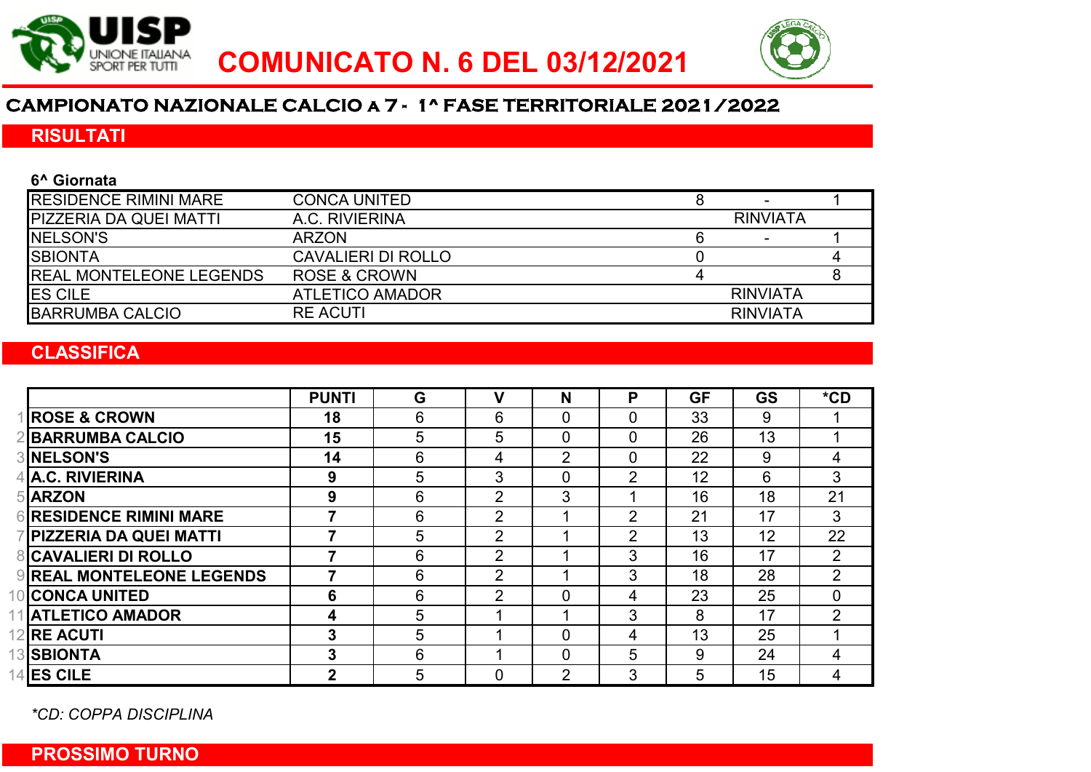



# **CAMPIONATO NAZIONALE CALCIO a 7 - 1^ FASE TERRITORIALE 2021/2022**

## RISULTATI

| 6^ Giornata                  |                           |                 |                 |  |  |
|------------------------------|---------------------------|-----------------|-----------------|--|--|
| <b>RESIDENCE RIMINI MARE</b> | <b>CONCA UNITED</b>       |                 |                 |  |  |
| PIZZERIA DA QUEI MATTI       | A.C. RIVIERINA            | <b>RINVIATA</b> |                 |  |  |
| <b>NELSON'S</b>              | <b>ARZON</b>              |                 |                 |  |  |
| <b>SBIONTA</b>               | <b>CAVALIERI DI ROLLO</b> |                 |                 |  |  |
| REAL MONTELEONE LEGENDS      | <b>ROSE &amp; CROWN</b>   |                 |                 |  |  |
| ES CILE                      | <b>ATLETICO AMADOR</b>    |                 | <b>RINVIATA</b> |  |  |
| <b>BARRUMBA CALCIO</b>       | <b>RE ACUTI</b>           |                 | <b>RINVIATA</b> |  |  |
|                              |                           |                 |                 |  |  |

### **CLASSIFICA**

|                                  | <b>PUNTI</b> | G | v              | N              | P              | <b>GF</b> | <b>GS</b> | $*$ CD         |
|----------------------------------|--------------|---|----------------|----------------|----------------|-----------|-----------|----------------|
| <b>ROSE &amp; CROWN</b>          | 18           | 6 | 6              | 0              | 0              | 33        | 9         |                |
| <b>BARRUMBA CALCIO</b>           | 15           | 5 | 5              | 0              | $\overline{0}$ | 26        | 13        |                |
| <b>3INELSON'S</b>                | 14           | 6 | 4              | $\overline{2}$ | $\mathbf{0}$   | 22        | 9         | 4              |
| 4 A.C. RIVIERINA                 | 9            | 5 | 3              | 0              | 2              | 12        | 6         | 3              |
| 5 ARZON                          | 9            | 6 | $\overline{2}$ | 3              |                | 16        | 18        | 21             |
| <b>6 RESIDENCE RIMINI MARE</b>   |              | 6 | $\overline{2}$ |                | $\overline{2}$ | 21        | 17        | 3              |
| <b>PIZZERIA DA QUEI MATTI</b>    |              | 5 | $\overline{2}$ |                | 2              | 13        | 12        | 22             |
| <b>8 CAVALIERI DI ROLLO</b>      |              | 6 | $\overline{2}$ |                | 3              | 16        | 17        | $\overline{2}$ |
| <b>9 REAL MONTELEONE LEGENDS</b> |              | 6 | $\overline{2}$ |                | 3              | 18        | 28        | $\overline{2}$ |
| 10 CONCA UNITED                  | 6            | 6 | $\overline{2}$ | 0              | 4              | 23        | 25        | $\Omega$       |
| 11 ATLETICO AMADOR               | 4            | 5 |                |                | 3              | 8         | 17        | $\overline{2}$ |
| 12 <b>IRE ACUTI</b>              | 3            | 5 |                | 0              | 4              | 13        | 25        |                |
| <b>13 SBIONTA</b>                | 3            | 6 |                | $\mathbf 0$    | 5              | 9         | 24        | 4              |
| <b>14 ES CILE</b>                | $\mathbf 2$  | 5 | 0              | 2              | 3              | 5         | 15        | 4              |

*\*CD: COPPA DISCIPLINA*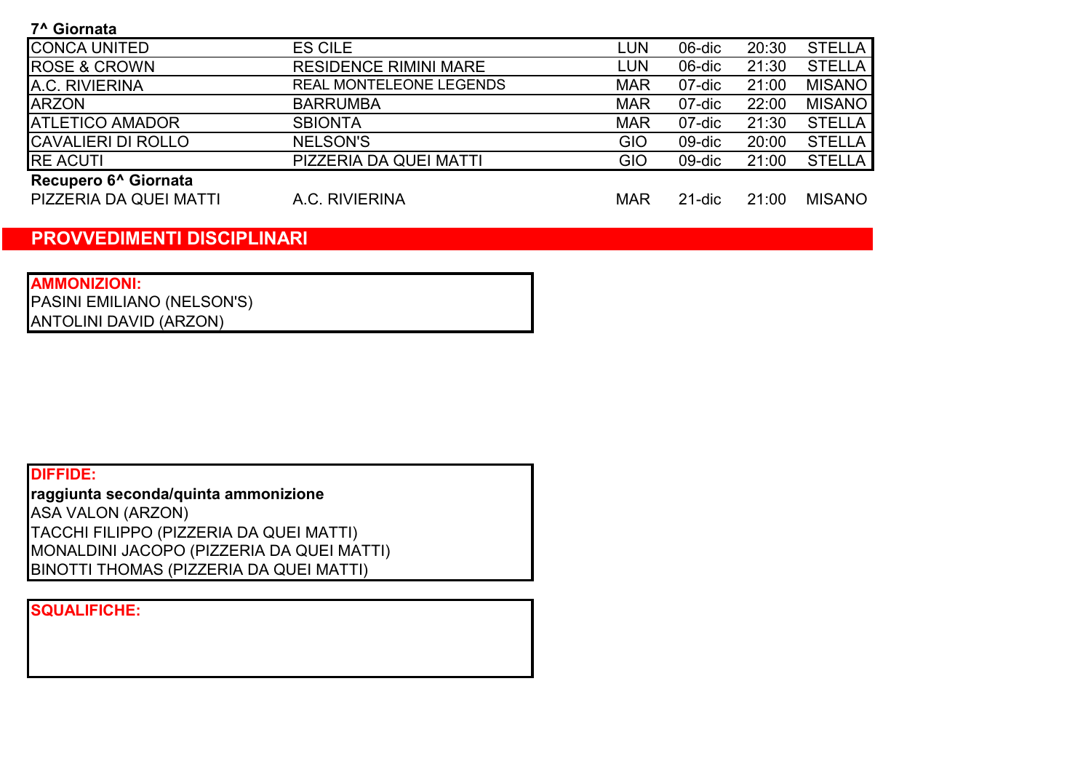7^ Giornata

| <b>CONCA UNITED</b>                                                                                                                                                                                                                                                                                                                                                                                                                                                                        | <b>ES CILE</b>                 | LUN        | 06-dic | 20:30 | <b>STELLA</b> |
|--------------------------------------------------------------------------------------------------------------------------------------------------------------------------------------------------------------------------------------------------------------------------------------------------------------------------------------------------------------------------------------------------------------------------------------------------------------------------------------------|--------------------------------|------------|--------|-------|---------------|
|                                                                                                                                                                                                                                                                                                                                                                                                                                                                                            |                                |            |        |       |               |
| <b>ROSE &amp; CROWN</b>                                                                                                                                                                                                                                                                                                                                                                                                                                                                    | <b>RESIDENCE RIMINI MARE</b>   | LUN        | 06-dic | 21:30 | <b>STELLA</b> |
| A.C. RIVIERINA                                                                                                                                                                                                                                                                                                                                                                                                                                                                             | <b>REAL MONTELEONE LEGENDS</b> | <b>MAR</b> | 07-dic | 21:00 | <b>MISANO</b> |
| <b>ARZON</b>                                                                                                                                                                                                                                                                                                                                                                                                                                                                               | <b>BARRUMBA</b>                | <b>MAR</b> | 07-dic | 22:00 | <b>MISANO</b> |
| <b>ATLETICO AMADOR</b>                                                                                                                                                                                                                                                                                                                                                                                                                                                                     | <b>SBIONTA</b>                 | <b>MAR</b> | 07-dic | 21:30 | <b>STELLA</b> |
| <b>CAVALIERI DI ROLLO</b>                                                                                                                                                                                                                                                                                                                                                                                                                                                                  | <b>NELSON'S</b>                | GIO        | 09-dic | 20:00 | <b>STELLA</b> |
| <b>RE ACUTI</b>                                                                                                                                                                                                                                                                                                                                                                                                                                                                            | PIZZERIA DA QUEI MATTI         | GIO        | 09-dic | 21:00 | <b>STELLA</b> |
| $\blacksquare$ $\blacksquare$ $\blacksquare$ $\blacksquare$ $\blacksquare$ $\blacksquare$ $\blacksquare$ $\blacksquare$ $\blacksquare$ $\blacksquare$ $\blacksquare$ $\blacksquare$ $\blacksquare$ $\blacksquare$ $\blacksquare$ $\blacksquare$ $\blacksquare$ $\blacksquare$ $\blacksquare$ $\blacksquare$ $\blacksquare$ $\blacksquare$ $\blacksquare$ $\blacksquare$ $\blacksquare$ $\blacksquare$ $\blacksquare$ $\blacksquare$ $\blacksquare$ $\blacksquare$ $\blacksquare$ $\blacks$ |                                |            |        |       |               |

#### Recupero 6^ Giornata

PIZZERIA DA QUEI MATTI A.C. RIVIERINA MAR 21-dic 21:00 MISANO

A.C. RIVIERINA

## PROVVEDIMENTI DISCIPLINARI

AMMONIZIONI: PASINI EMILIANO (NELSON'S) ANTOLINI DAVID (ARZON)

## DIFFIDE:

raggiunta seconda/quinta ammonizione TACCHI FILIPPO (PIZZERIA DA QUEI MATTI) MONALDINI JACOPO (PIZZERIA DA QUEI MATTI) ASA VALON (ARZON) BINOTTI THOMAS (PIZZERIA DA QUEI MATTI)

SQUALIFICHE: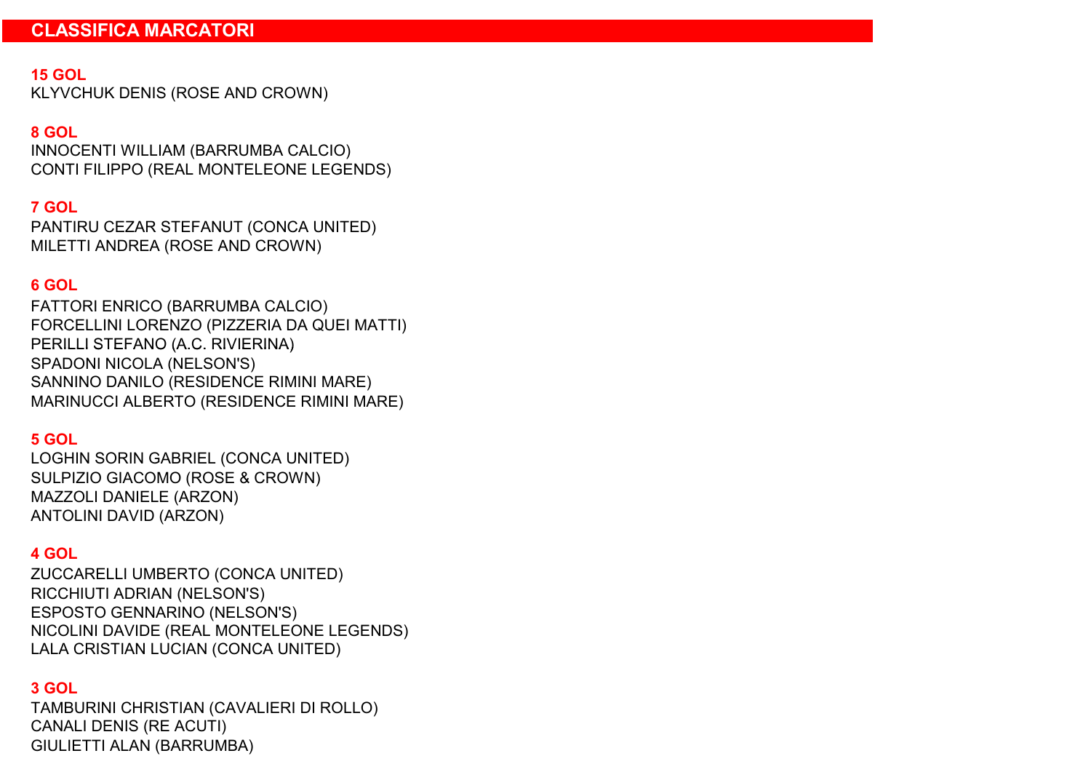#### 15 GOL

KLYVCHUK DENIS (ROSE AND CROWN)

#### 8 GOL

INNOCENTI WILLIAM (BARRUMBA CALCIO) CONTI FILIPPO (REAL MONTELEONE LEGENDS)

#### 7 GOL

MILETTI ANDREA (ROSE AND CROWN) PANTIRU CEZAR STEFANUT (CONCA UNITED)

#### 6 GOL

FORCELLINI LORENZO (PIZZERIA DA QUEI MATTI) FATTORI ENRICO (BARRUMBA CALCIO) PERILLI STEFANO (A.C. RIVIERINA) SPADONI NICOLA (NELSON'S) MARINUCCI ALBERTO (RESIDENCE RIMINI MARE) SANNINO DANILO (RESIDENCE RIMINI MARE)

#### 5 GOL

SULPIZIO GIACOMO (ROSE & CROWN) LOGHIN SORIN GABRIEL (CONCA UNITED) MAZZOLI DANIELE (ARZON) ANTOLINI DAVID (ARZON)

#### 4 GOL

ZUCCARELLI UMBERTO (CONCA UNITED) RICCHIUTI ADRIAN (NELSON'S) ESPOSTO GENNARINO (NELSON'S) NICOLINI DAVIDE (REAL MONTELEONE LEGENDS) LALA CRISTIAN LUCIAN (CONCA UNITED)

#### 3 GOL

TAMBURINI CHRISTIAN (CAVALIERI DI ROLLO) GIULIETTI ALAN (BARRUMBA) CANALI DENIS (RE ACUTI)